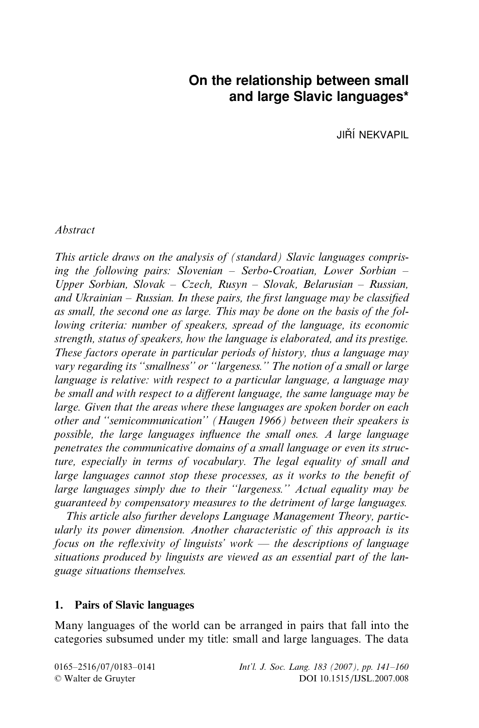# On the relationship between small and large Slavic languages\*

JIŘÍ NEKVAPIL

### Abstract

This article draws on the analysis of (standard) Slavic languages comprising the following pairs: Slovenian – Serbo-Croatian, Lower Sorbian – Upper Sorbian, Slovak – Czech, Rusyn – Slovak, Belarusian – Russian, and Ukrainian – Russian. In these pairs, the first language may be classified as small, the second one as large. This may be done on the basis of the following criteria: number of speakers, spread of the language, its economic strength, status of speakers, how the language is elaborated, and its prestige. These factors operate in particular periods of history, thus a language may vary regarding its ''smallness'' or ''largeness.'' The notion of a small or large language is relative: with respect to a particular language, a language may be small and with respect to a different language, the same language may be large. Given that the areas where these languages are spoken border on each other and ''semicommunication'' (Haugen 1966) between their speakers is possible, the large languages influence the small ones. A large language penetrates the communicative domains of a small language or even its structure, especially in terms of vocabulary. The legal equality of small and large languages cannot stop these processes, as it works to the benefit of large languages simply due to their ''largeness.'' Actual equality may be guaranteed by compensatory measures to the detriment of large languages.

This article also further develops Language Management Theory, particularly its power dimension. Another characteristic of this approach is its focus on the reflexivity of linguists' work — the descriptions of language situations produced by linguists are viewed as an essential part of the language situations themselves.

#### 1. Pairs of Slavic languages

Many languages of the world can be arranged in pairs that fall into the categories subsumed under my title: small and large languages. The data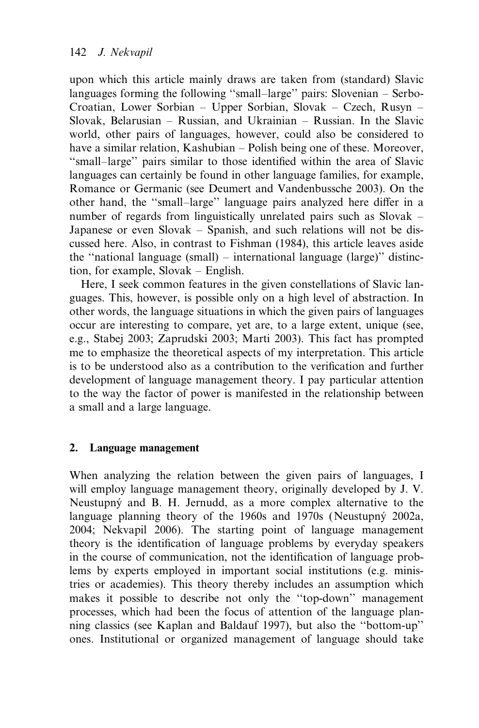upon which this article mainly draws are taken from (standard) Slavic languages forming the following ''small–large'' pairs: Slovenian – Serbo-Croatian, Lower Sorbian – Upper Sorbian, Slovak – Czech, Rusyn – Slovak, Belarusian – Russian, and Ukrainian – Russian. In the Slavic world, other pairs of languages, however, could also be considered to have a similar relation, Kashubian – Polish being one of these. Moreover, ''small–large'' pairs similar to those identified within the area of Slavic languages can certainly be found in other language families, for example, Romance or Germanic (see Deumert and Vandenbussche 2003). On the other hand, the "small–large" language pairs analyzed here differ in a number of regards from linguistically unrelated pairs such as Slovak – Japanese or even Slovak – Spanish, and such relations will not be discussed here. Also, in contrast to Fishman (1984), this article leaves aside the ''national language (small) – international language (large)'' distinction, for example, Slovak – English.

Here, I seek common features in the given constellations of Slavic languages. This, however, is possible only on a high level of abstraction. In other words, the language situations in which the given pairs of languages occur are interesting to compare, yet are, to a large extent, unique (see, e.g., Stabej 2003; Zaprudski 2003; Marti 2003). This fact has prompted me to emphasize the theoretical aspects of my interpretation. This article is to be understood also as a contribution to the verification and further development of language management theory. I pay particular attention to the way the factor of power is manifested in the relationship between a small and a large language.

# 2. Language management

When analyzing the relation between the given pairs of languages, I will employ language management theory, originally developed by J. V. Neustupny and B. H. Jernudd, as a more complex alternative to the language planning theory of the  $1960s$  and  $1970s$  (Neustupny<sup> $2002a$ </sup>, 2004; Nekvapil 2006). The starting point of language management theory is the identification of language problems by everyday speakers in the course of communication, not the identification of language problems by experts employed in important social institutions (e.g. ministries or academies). This theory thereby includes an assumption which makes it possible to describe not only the ''top-down'' management processes, which had been the focus of attention of the language planning classics (see Kaplan and Baldauf 1997), but also the ''bottom-up'' ones. Institutional or organized management of language should take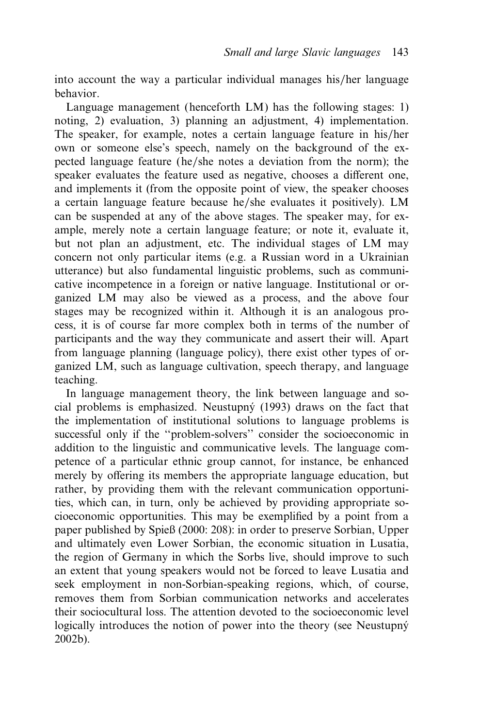into account the way a particular individual manages his/her language behavior.

Language management (henceforth LM) has the following stages: 1) noting, 2) evaluation, 3) planning an adjustment, 4) implementation. The speaker, for example, notes a certain language feature in his/her own or someone else's speech, namely on the background of the expected language feature (he/she notes a deviation from the norm); the speaker evaluates the feature used as negative, chooses a different one, and implements it (from the opposite point of view, the speaker chooses a certain language feature because he/she evaluates it positively). LM can be suspended at any of the above stages. The speaker may, for example, merely note a certain language feature; or note it, evaluate it, but not plan an adjustment, etc. The individual stages of LM may concern not only particular items (e.g. a Russian word in a Ukrainian utterance) but also fundamental linguistic problems, such as communicative incompetence in a foreign or native language. Institutional or organized LM may also be viewed as a process, and the above four stages may be recognized within it. Although it is an analogous process, it is of course far more complex both in terms of the number of participants and the way they communicate and assert their will. Apart from language planning (language policy), there exist other types of organized LM, such as language cultivation, speech therapy, and language teaching.

In language management theory, the link between language and social problems is emphasized. Neustupný (1993) draws on the fact that the implementation of institutional solutions to language problems is successful only if the ''problem-solvers'' consider the socioeconomic in addition to the linguistic and communicative levels. The language competence of a particular ethnic group cannot, for instance, be enhanced merely by offering its members the appropriate language education, but rather, by providing them with the relevant communication opportunities, which can, in turn, only be achieved by providing appropriate socioeconomic opportunities. This may be exemplified by a point from a paper published by Spieß (2000: 208): in order to preserve Sorbian, Upper and ultimately even Lower Sorbian, the economic situation in Lusatia, the region of Germany in which the Sorbs live, should improve to such an extent that young speakers would not be forced to leave Lusatia and seek employment in non-Sorbian-speaking regions, which, of course, removes them from Sorbian communication networks and accelerates their sociocultural loss. The attention devoted to the socioeconomic level logically introduces the notion of power into the theory (see Neustupny) 2002b).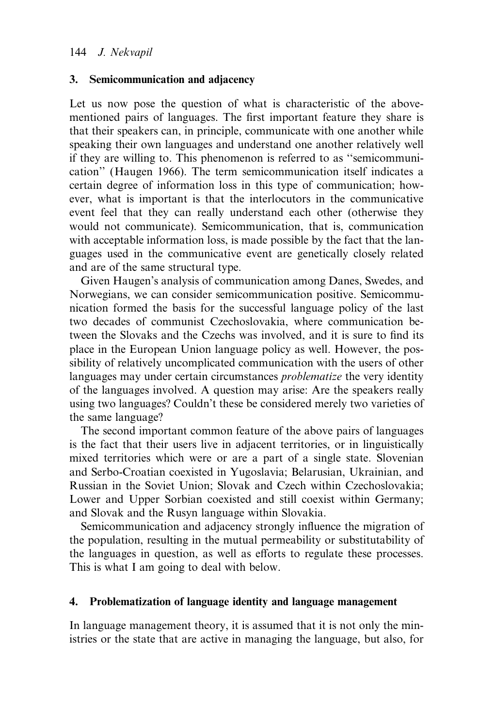### 3. Semicommunication and adjacency

Let us now pose the question of what is characteristic of the abovementioned pairs of languages. The first important feature they share is that their speakers can, in principle, communicate with one another while speaking their own languages and understand one another relatively well if they are willing to. This phenomenon is referred to as ''semicommunication'' (Haugen 1966). The term semicommunication itself indicates a certain degree of information loss in this type of communication; however, what is important is that the interlocutors in the communicative event feel that they can really understand each other (otherwise they would not communicate). Semicommunication, that is, communication with acceptable information loss, is made possible by the fact that the languages used in the communicative event are genetically closely related and are of the same structural type.

Given Haugen's analysis of communication among Danes, Swedes, and Norwegians, we can consider semicommunication positive. Semicommunication formed the basis for the successful language policy of the last two decades of communist Czechoslovakia, where communication between the Slovaks and the Czechs was involved, and it is sure to find its place in the European Union language policy as well. However, the possibility of relatively uncomplicated communication with the users of other languages may under certain circumstances *problematize* the very identity of the languages involved. A question may arise: Are the speakers really using two languages? Couldn't these be considered merely two varieties of the same language?

The second important common feature of the above pairs of languages is the fact that their users live in adjacent territories, or in linguistically mixed territories which were or are a part of a single state. Slovenian and Serbo-Croatian coexisted in Yugoslavia; Belarusian, Ukrainian, and Russian in the Soviet Union; Slovak and Czech within Czechoslovakia; Lower and Upper Sorbian coexisted and still coexist within Germany; and Slovak and the Rusyn language within Slovakia.

Semicommunication and adjacency strongly influence the migration of the population, resulting in the mutual permeability or substitutability of the languages in question, as well as efforts to regulate these processes. This is what I am going to deal with below.

### 4. Problematization of language identity and language management

In language management theory, it is assumed that it is not only the ministries or the state that are active in managing the language, but also, for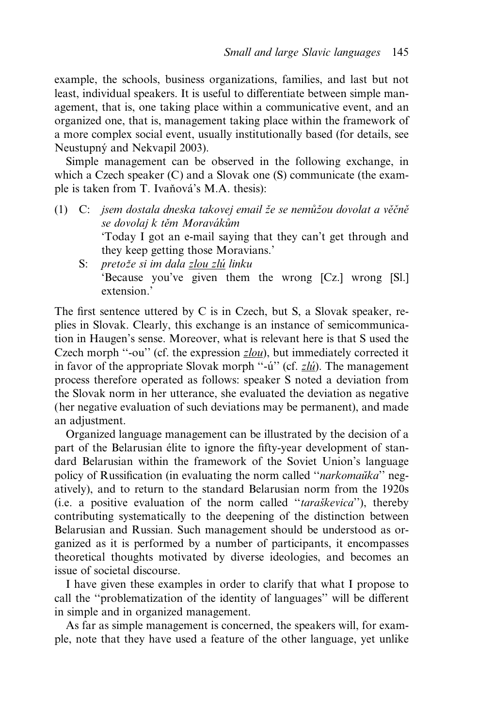example, the schools, business organizations, families, and last but not least, individual speakers. It is useful to differentiate between simple management, that is, one taking place within a communicative event, and an organized one, that is, management taking place within the framework of a more complex social event, usually institutionally based (for details, see Neustupný and Nekvapil 2003).

Simple management can be observed in the following exchange, in which a Czech speaker (C) and a Slovak one (S) communicate (the example is taken from T. Ivaňová's M.A. thesis):

- (1) C: jsem dostala dneska takovej email že se nemůžou dovolat a věčně se dovolaj k těm Moravákům 'Today I got an e-mail saying that they can't get through and they keep getting those Moravians.'
	- S: pretože si im dala zlou zlú linku 'Because you've given them the wrong [Cz.] wrong [Sl.] extension.'

The first sentence uttered by C is in Czech, but S, a Slovak speaker, replies in Slovak. Clearly, this exchange is an instance of semicommunication in Haugen's sense. Moreover, what is relevant here is that S used the Czech morph "-ou" (cf. the expression  $z_l$  but immediately corrected it in favor of the appropriate Slovak morph "- $\mathbf{\hat{u}}$ " (cf. *zlu*). The management process therefore operated as follows: speaker S noted a deviation from the Slovak norm in her utterance, she evaluated the deviation as negative (her negative evaluation of such deviations may be permanent), and made an adjustment.

Organized language management can be illustrated by the decision of a part of the Belarusian élite to ignore the fifty-year development of standard Belarusian within the framework of the Soviet Union's language policy of Russification (in evaluating the norm called "*narkomaŭka*" negatively), and to return to the standard Belarusian norm from the 1920s (i.e. a positive evaluation of the norm called " $\text{tar}\text{a\text{y}}\text{a\text{y}}$ "), thereby contributing systematically to the deepening of the distinction between Belarusian and Russian. Such management should be understood as organized as it is performed by a number of participants, it encompasses theoretical thoughts motivated by diverse ideologies, and becomes an issue of societal discourse.

I have given these examples in order to clarify that what I propose to call the "problematization of the identity of languages" will be different in simple and in organized management.

As far as simple management is concerned, the speakers will, for example, note that they have used a feature of the other language, yet unlike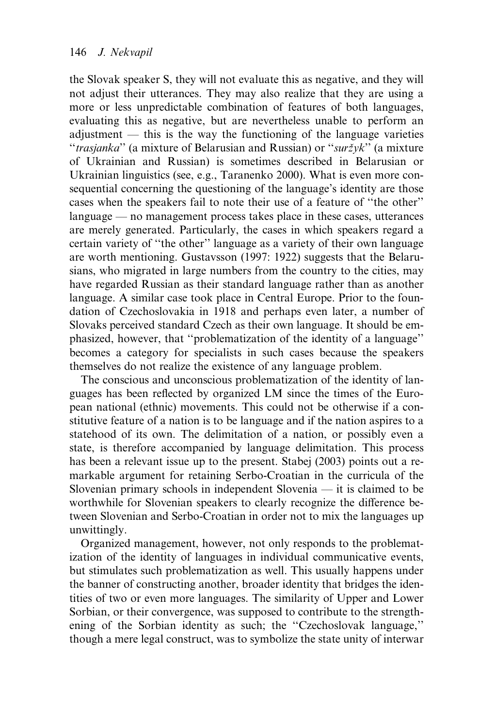the Slovak speaker S, they will not evaluate this as negative, and they will not adjust their utterances. They may also realize that they are using a more or less unpredictable combination of features of both languages, evaluating this as negative, but are nevertheless unable to perform an adjustment — this is the way the functioning of the language varieties "trasjanka" (a mixture of Belarusian and Russian) or " $sur\check{z}vk$ " (a mixture of Ukrainian and Russian) is sometimes described in Belarusian or Ukrainian linguistics (see, e.g., Taranenko 2000). What is even more consequential concerning the questioning of the language's identity are those cases when the speakers fail to note their use of a feature of ''the other'' language — no management process takes place in these cases, utterances are merely generated. Particularly, the cases in which speakers regard a certain variety of ''the other'' language as a variety of their own language are worth mentioning. Gustavsson (1997: 1922) suggests that the Belarusians, who migrated in large numbers from the country to the cities, may have regarded Russian as their standard language rather than as another language. A similar case took place in Central Europe. Prior to the foundation of Czechoslovakia in 1918 and perhaps even later, a number of Slovaks perceived standard Czech as their own language. It should be emphasized, however, that ''problematization of the identity of a language'' becomes a category for specialists in such cases because the speakers themselves do not realize the existence of any language problem.

The conscious and unconscious problematization of the identity of languages has been reflected by organized LM since the times of the European national (ethnic) movements. This could not be otherwise if a constitutive feature of a nation is to be language and if the nation aspires to a statehood of its own. The delimitation of a nation, or possibly even a state, is therefore accompanied by language delimitation. This process has been a relevant issue up to the present. Stabej (2003) points out a remarkable argument for retaining Serbo-Croatian in the curricula of the Slovenian primary schools in independent Slovenia — it is claimed to be worthwhile for Slovenian speakers to clearly recognize the difference between Slovenian and Serbo-Croatian in order not to mix the languages up unwittingly.

Organized management, however, not only responds to the problematization of the identity of languages in individual communicative events, but stimulates such problematization as well. This usually happens under the banner of constructing another, broader identity that bridges the identities of two or even more languages. The similarity of Upper and Lower Sorbian, or their convergence, was supposed to contribute to the strengthening of the Sorbian identity as such; the ''Czechoslovak language,'' though a mere legal construct, was to symbolize the state unity of interwar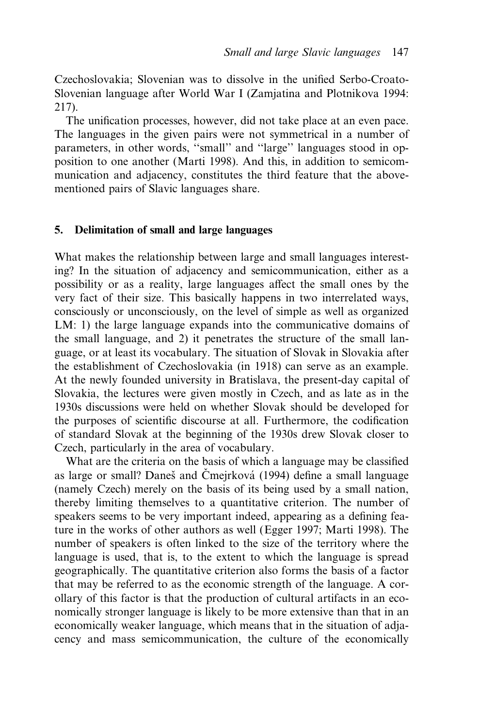Czechoslovakia; Slovenian was to dissolve in the unified Serbo-Croato-Slovenian language after World War I (Zamjatina and Plotnikova 1994: 217).

The unification processes, however, did not take place at an even pace. The languages in the given pairs were not symmetrical in a number of parameters, in other words, ''small'' and ''large'' languages stood in opposition to one another (Marti 1998). And this, in addition to semicommunication and adjacency, constitutes the third feature that the abovementioned pairs of Slavic languages share.

#### 5. Delimitation of small and large languages

What makes the relationship between large and small languages interesting? In the situation of adjacency and semicommunication, either as a possibility or as a reality, large languages affect the small ones by the very fact of their size. This basically happens in two interrelated ways, consciously or unconsciously, on the level of simple as well as organized LM: 1) the large language expands into the communicative domains of the small language, and 2) it penetrates the structure of the small language, or at least its vocabulary. The situation of Slovak in Slovakia after the establishment of Czechoslovakia (in 1918) can serve as an example. At the newly founded university in Bratislava, the present-day capital of Slovakia, the lectures were given mostly in Czech, and as late as in the 1930s discussions were held on whether Slovak should be developed for the purposes of scientific discourse at all. Furthermore, the codification of standard Slovak at the beginning of the 1930s drew Slovak closer to Czech, particularly in the area of vocabulary.

What are the criteria on the basis of which a language may be classified as large or small? Daneš and Čmejrková (1994) define a small language (namely Czech) merely on the basis of its being used by a small nation, thereby limiting themselves to a quantitative criterion. The number of speakers seems to be very important indeed, appearing as a defining feature in the works of other authors as well (Egger 1997; Marti 1998). The number of speakers is often linked to the size of the territory where the language is used, that is, to the extent to which the language is spread geographically. The quantitative criterion also forms the basis of a factor that may be referred to as the economic strength of the language. A corollary of this factor is that the production of cultural artifacts in an economically stronger language is likely to be more extensive than that in an economically weaker language, which means that in the situation of adjacency and mass semicommunication, the culture of the economically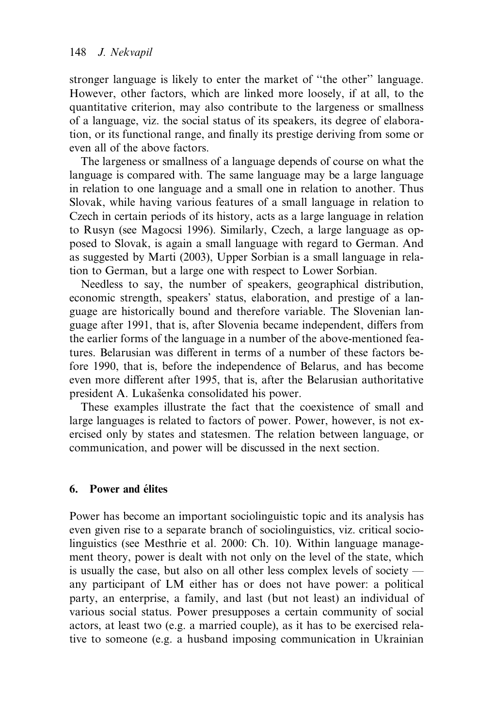stronger language is likely to enter the market of ''the other'' language. However, other factors, which are linked more loosely, if at all, to the quantitative criterion, may also contribute to the largeness or smallness of a language, viz. the social status of its speakers, its degree of elaboration, or its functional range, and finally its prestige deriving from some or even all of the above factors.

The largeness or smallness of a language depends of course on what the language is compared with. The same language may be a large language in relation to one language and a small one in relation to another. Thus Slovak, while having various features of a small language in relation to Czech in certain periods of its history, acts as a large language in relation to Rusyn (see Magocsi 1996). Similarly, Czech, a large language as opposed to Slovak, is again a small language with regard to German. And as suggested by Marti (2003), Upper Sorbian is a small language in relation to German, but a large one with respect to Lower Sorbian.

Needless to say, the number of speakers, geographical distribution, economic strength, speakers' status, elaboration, and prestige of a language are historically bound and therefore variable. The Slovenian language after 1991, that is, after Slovenia became independent, differs from the earlier forms of the language in a number of the above-mentioned features. Belarusian was different in terms of a number of these factors before 1990, that is, before the independence of Belarus, and has become even more different after 1995, that is, after the Belarusian authoritative president A. Lukašenka consolidated his power.

These examples illustrate the fact that the coexistence of small and large languages is related to factors of power. Power, however, is not exercised only by states and statesmen. The relation between language, or communication, and power will be discussed in the next section.

# 6. Power and élites

Power has become an important sociolinguistic topic and its analysis has even given rise to a separate branch of sociolinguistics, viz. critical sociolinguistics (see Mesthrie et al. 2000: Ch. 10). Within language management theory, power is dealt with not only on the level of the state, which is usually the case, but also on all other less complex levels of society any participant of LM either has or does not have power: a political party, an enterprise, a family, and last (but not least) an individual of various social status. Power presupposes a certain community of social actors, at least two (e.g. a married couple), as it has to be exercised relative to someone (e.g. a husband imposing communication in Ukrainian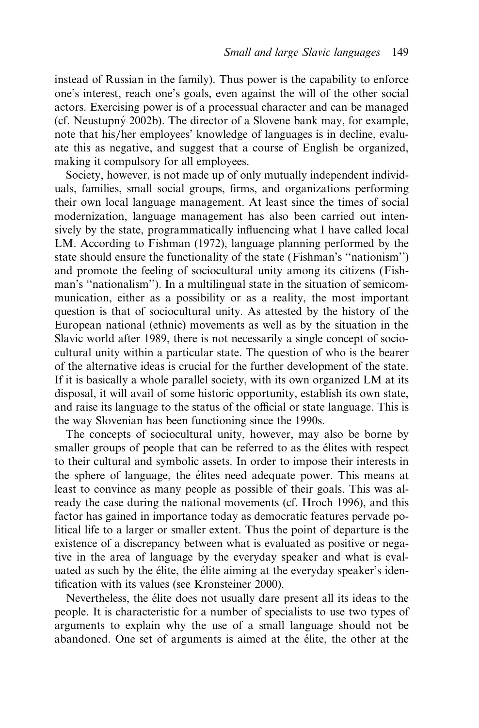instead of Russian in the family). Thus power is the capability to enforce one's interest, reach one's goals, even against the will of the other social actors. Exercising power is of a processual character and can be managed  $(cf. Neustunný 2002b)$ . The director of a Slovene bank may, for example, note that his/her employees' knowledge of languages is in decline, evaluate this as negative, and suggest that a course of English be organized, making it compulsory for all employees.

Society, however, is not made up of only mutually independent individuals, families, small social groups, firms, and organizations performing their own local language management. At least since the times of social modernization, language management has also been carried out intensively by the state, programmatically influencing what I have called local LM. According to Fishman (1972), language planning performed by the state should ensure the functionality of the state (Fishman's ''nationism'') and promote the feeling of sociocultural unity among its citizens (Fishman's ''nationalism''). In a multilingual state in the situation of semicommunication, either as a possibility or as a reality, the most important question is that of sociocultural unity. As attested by the history of the European national (ethnic) movements as well as by the situation in the Slavic world after 1989, there is not necessarily a single concept of sociocultural unity within a particular state. The question of who is the bearer of the alternative ideas is crucial for the further development of the state. If it is basically a whole parallel society, with its own organized LM at its disposal, it will avail of some historic opportunity, establish its own state, and raise its language to the status of the official or state language. This is the way Slovenian has been functioning since the 1990s.

The concepts of sociocultural unity, however, may also be borne by smaller groups of people that can be referred to as the élites with respect to their cultural and symbolic assets. In order to impose their interests in the sphere of language, the élites need adequate power. This means at least to convince as many people as possible of their goals. This was already the case during the national movements (cf. Hroch 1996), and this factor has gained in importance today as democratic features pervade political life to a larger or smaller extent. Thus the point of departure is the existence of a discrepancy between what is evaluated as positive or negative in the area of language by the everyday speaker and what is evaluated as such by the élite, the élite aiming at the everyday speaker's identification with its values (see Kronsteiner 2000).

Nevertheless, the élite does not usually dare present all its ideas to the people. It is characteristic for a number of specialists to use two types of arguments to explain why the use of a small language should not be abandoned. One set of arguments is aimed at the élite, the other at the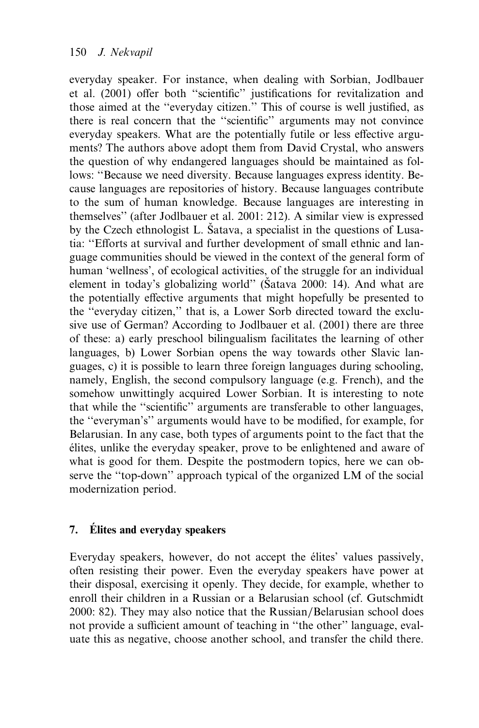everyday speaker. For instance, when dealing with Sorbian, Jodlbauer et al.  $(2001)$  offer both "scientific" justifications for revitalization and those aimed at the ''everyday citizen.'' This of course is well justified, as there is real concern that the ''scientific'' arguments may not convince everyday speakers. What are the potentially futile or less effective arguments? The authors above adopt them from David Crystal, who answers the question of why endangered languages should be maintained as follows: ''Because we need diversity. Because languages express identity. Because languages are repositories of history. Because languages contribute to the sum of human knowledge. Because languages are interesting in themselves'' (after Jodlbauer et al. 2001: 212). A similar view is expressed by the Czech ethnologist L. Šatava, a specialist in the questions of Lusatia: "Efforts at survival and further development of small ethnic and language communities should be viewed in the context of the general form of human 'wellness', of ecological activities, of the struggle for an individual element in today's globalizing world" (Satava 2000: 14). And what are the potentially effective arguments that might hopefully be presented to the ''everyday citizen,'' that is, a Lower Sorb directed toward the exclusive use of German? According to Jodlbauer et al. (2001) there are three of these: a) early preschool bilingualism facilitates the learning of other languages, b) Lower Sorbian opens the way towards other Slavic languages, c) it is possible to learn three foreign languages during schooling, namely, English, the second compulsory language (e.g. French), and the somehow unwittingly acquired Lower Sorbian. It is interesting to note that while the ''scientific'' arguments are transferable to other languages, the ''everyman's'' arguments would have to be modified, for example, for Belarusian. In any case, both types of arguments point to the fact that the e'lites, unlike the everyday speaker, prove to be enlightened and aware of what is good for them. Despite the postmodern topics, here we can observe the ''top-down'' approach typical of the organized LM of the social modernization period.

# 7. Elites and everyday speakers

Everyday speakers, however, do not accept the élites' values passively, often resisting their power. Even the everyday speakers have power at their disposal, exercising it openly. They decide, for example, whether to enroll their children in a Russian or a Belarusian school (cf. Gutschmidt 2000: 82). They may also notice that the Russian/Belarusian school does not provide a sufficient amount of teaching in "the other" language, evaluate this as negative, choose another school, and transfer the child there.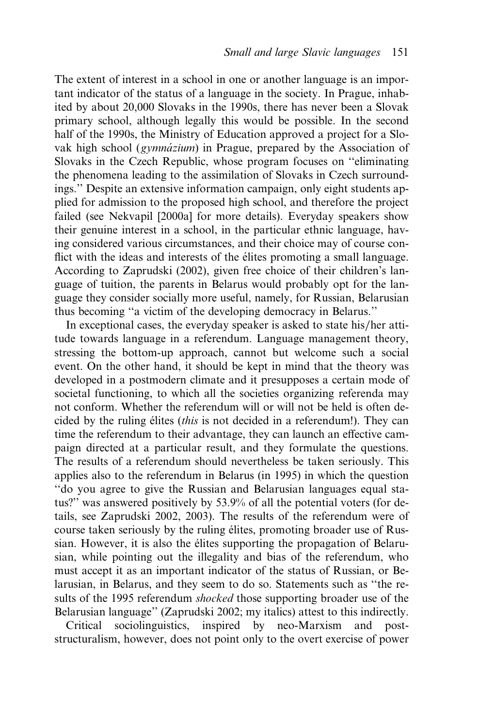The extent of interest in a school in one or another language is an important indicator of the status of a language in the society. In Prague, inhabited by about 20,000 Slovaks in the 1990s, there has never been a Slovak primary school, although legally this would be possible. In the second half of the 1990s, the Ministry of Education approved a project for a Slovak high school (*gymnázium*) in Prague, prepared by the Association of Slovaks in the Czech Republic, whose program focuses on ''eliminating the phenomena leading to the assimilation of Slovaks in Czech surroundings.'' Despite an extensive information campaign, only eight students applied for admission to the proposed high school, and therefore the project failed (see Nekvapil [2000a] for more details). Everyday speakers show their genuine interest in a school, in the particular ethnic language, having considered various circumstances, and their choice may of course conflict with the ideas and interests of the élites promoting a small language. According to Zaprudski (2002), given free choice of their children's language of tuition, the parents in Belarus would probably opt for the language they consider socially more useful, namely, for Russian, Belarusian thus becoming ''a victim of the developing democracy in Belarus.''

In exceptional cases, the everyday speaker is asked to state his/her attitude towards language in a referendum. Language management theory, stressing the bottom-up approach, cannot but welcome such a social event. On the other hand, it should be kept in mind that the theory was developed in a postmodern climate and it presupposes a certain mode of societal functioning, to which all the societies organizing referenda may not conform. Whether the referendum will or will not be held is often decided by the ruling élites (*this* is not decided in a referendum!). They can time the referendum to their advantage, they can launch an effective campaign directed at a particular result, and they formulate the questions. The results of a referendum should nevertheless be taken seriously. This applies also to the referendum in Belarus (in 1995) in which the question ''do you agree to give the Russian and Belarusian languages equal status?'' was answered positively by 53.9% of all the potential voters (for details, see Zaprudski 2002, 2003). The results of the referendum were of course taken seriously by the ruling élites, promoting broader use of Russian. However, it is also the élites supporting the propagation of Belarusian, while pointing out the illegality and bias of the referendum, who must accept it as an important indicator of the status of Russian, or Belarusian, in Belarus, and they seem to do so. Statements such as ''the results of the 1995 referendum *shocked* those supporting broader use of the Belarusian language'' (Zaprudski 2002; my italics) attest to this indirectly.

Critical sociolinguistics, inspired by neo-Marxism and poststructuralism, however, does not point only to the overt exercise of power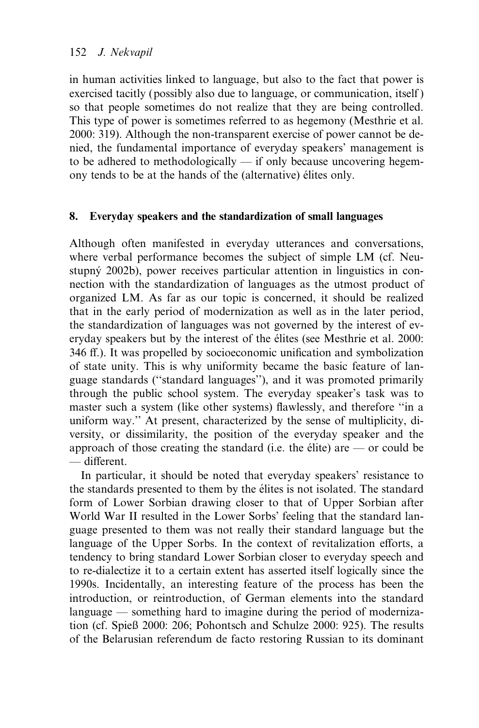in human activities linked to language, but also to the fact that power is exercised tacitly (possibly also due to language, or communication, itself) so that people sometimes do not realize that they are being controlled. This type of power is sometimes referred to as hegemony (Mesthrie et al. 2000: 319). Although the non-transparent exercise of power cannot be denied, the fundamental importance of everyday speakers' management is to be adhered to methodologically — if only because uncovering hegemony tends to be at the hands of the (alternative) élites only.

# 8. Everyday speakers and the standardization of small languages

Although often manifested in everyday utterances and conversations, where verbal performance becomes the subject of simple LM (cf. Neustupny´ 2002b), power receives particular attention in linguistics in connection with the standardization of languages as the utmost product of organized LM. As far as our topic is concerned, it should be realized that in the early period of modernization as well as in the later period, the standardization of languages was not governed by the interest of everyday speakers but by the interest of the élites (see Mesthrie et al. 2000: 346 ¤.). It was propelled by socioeconomic unification and symbolization of state unity. This is why uniformity became the basic feature of language standards (''standard languages''), and it was promoted primarily through the public school system. The everyday speaker's task was to master such a system (like other systems) flawlessly, and therefore ''in a uniform way.'' At present, characterized by the sense of multiplicity, diversity, or dissimilarity, the position of the everyday speaker and the approach of those creating the standard (i.e. the élite) are  $-$  or could be  $-$  different.

In particular, it should be noted that everyday speakers' resistance to the standards presented to them by the élites is not isolated. The standard form of Lower Sorbian drawing closer to that of Upper Sorbian after World War II resulted in the Lower Sorbs' feeling that the standard language presented to them was not really their standard language but the language of the Upper Sorbs. In the context of revitalization efforts, a tendency to bring standard Lower Sorbian closer to everyday speech and to re-dialectize it to a certain extent has asserted itself logically since the 1990s. Incidentally, an interesting feature of the process has been the introduction, or reintroduction, of German elements into the standard language — something hard to imagine during the period of modernization (cf. Spieß 2000: 206; Pohontsch and Schulze 2000: 925). The results of the Belarusian referendum de facto restoring Russian to its dominant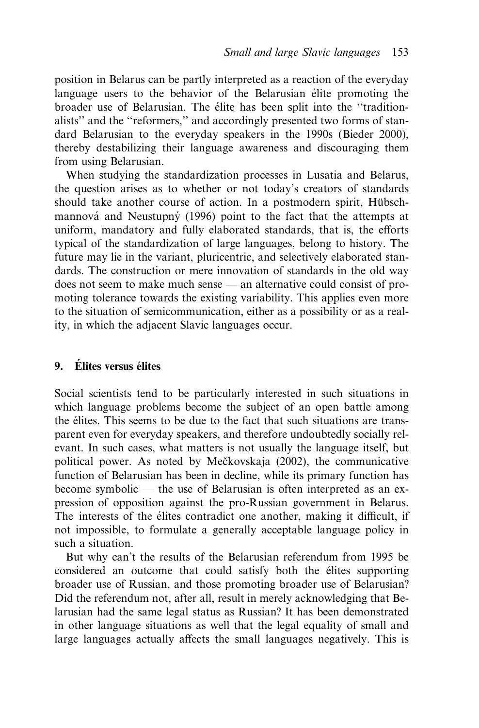position in Belarus can be partly interpreted as a reaction of the everyday language users to the behavior of the Belarusian élite promoting the broader use of Belarusian. The élite has been split into the "traditionalists'' and the ''reformers,'' and accordingly presented two forms of standard Belarusian to the everyday speakers in the 1990s (Bieder 2000), thereby destabilizing their language awareness and discouraging them from using Belarusian.

When studying the standardization processes in Lusatia and Belarus, the question arises as to whether or not today's creators of standards should take another course of action. In a postmodern spirit, Hübschmannová and Neustupný (1996) point to the fact that the attempts at uniform, mandatory and fully elaborated standards, that is, the efforts typical of the standardization of large languages, belong to history. The future may lie in the variant, pluricentric, and selectively elaborated standards. The construction or mere innovation of standards in the old way does not seem to make much sense — an alternative could consist of promoting tolerance towards the existing variability. This applies even more to the situation of semicommunication, either as a possibility or as a reality, in which the adjacent Slavic languages occur.

# 9. Élites versus élites

Social scientists tend to be particularly interested in such situations in which language problems become the subject of an open battle among the élites. This seems to be due to the fact that such situations are transparent even for everyday speakers, and therefore undoubtedly socially relevant. In such cases, what matters is not usually the language itself, but political power. As noted by Mečkovskaja (2002), the communicative function of Belarusian has been in decline, while its primary function has become symbolic — the use of Belarusian is often interpreted as an expression of opposition against the pro-Russian government in Belarus. The interests of the élites contradict one another, making it difficult, if not impossible, to formulate a generally acceptable language policy in such a situation.

But why can't the results of the Belarusian referendum from 1995 be considered an outcome that could satisfy both the élites supporting broader use of Russian, and those promoting broader use of Belarusian? Did the referendum not, after all, result in merely acknowledging that Belarusian had the same legal status as Russian? It has been demonstrated in other language situations as well that the legal equality of small and large languages actually affects the small languages negatively. This is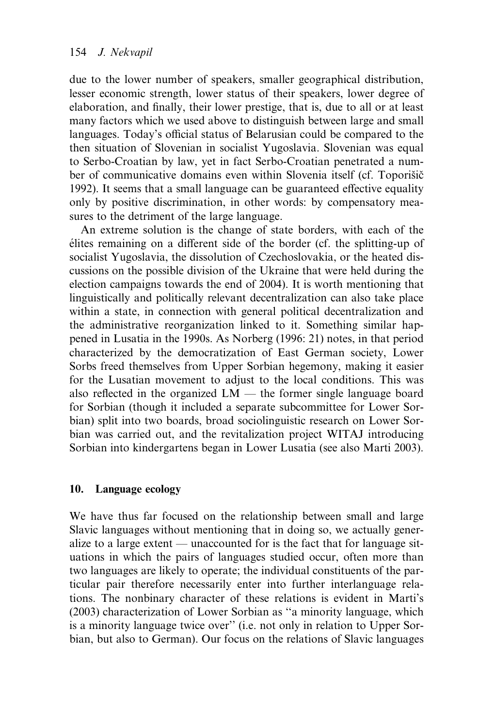due to the lower number of speakers, smaller geographical distribution, lesser economic strength, lower status of their speakers, lower degree of elaboration, and finally, their lower prestige, that is, due to all or at least many factors which we used above to distinguish between large and small languages. Today's official status of Belarusian could be compared to the then situation of Slovenian in socialist Yugoslavia. Slovenian was equal to Serbo-Croatian by law, yet in fact Serbo-Croatian penetrated a number of communicative domains even within Slovenia itself (cf. Toporišič 1992). It seems that a small language can be guaranteed effective equality only by positive discrimination, in other words: by compensatory measures to the detriment of the large language.

An extreme solution is the change of state borders, with each of the e'lites remaining on a different side of the border (cf. the splitting-up of socialist Yugoslavia, the dissolution of Czechoslovakia, or the heated discussions on the possible division of the Ukraine that were held during the election campaigns towards the end of 2004). It is worth mentioning that linguistically and politically relevant decentralization can also take place within a state, in connection with general political decentralization and the administrative reorganization linked to it. Something similar happened in Lusatia in the 1990s. As Norberg (1996: 21) notes, in that period characterized by the democratization of East German society, Lower Sorbs freed themselves from Upper Sorbian hegemony, making it easier for the Lusatian movement to adjust to the local conditions. This was also reflected in the organized  $LM$  — the former single language board for Sorbian (though it included a separate subcommittee for Lower Sorbian) split into two boards, broad sociolinguistic research on Lower Sorbian was carried out, and the revitalization project WITAJ introducing Sorbian into kindergartens began in Lower Lusatia (see also Marti 2003).

# 10. Language ecology

We have thus far focused on the relationship between small and large Slavic languages without mentioning that in doing so, we actually generalize to a large extent — unaccounted for is the fact that for language situations in which the pairs of languages studied occur, often more than two languages are likely to operate; the individual constituents of the particular pair therefore necessarily enter into further interlanguage relations. The nonbinary character of these relations is evident in Marti's (2003) characterization of Lower Sorbian as ''a minority language, which is a minority language twice over'' (i.e. not only in relation to Upper Sorbian, but also to German). Our focus on the relations of Slavic languages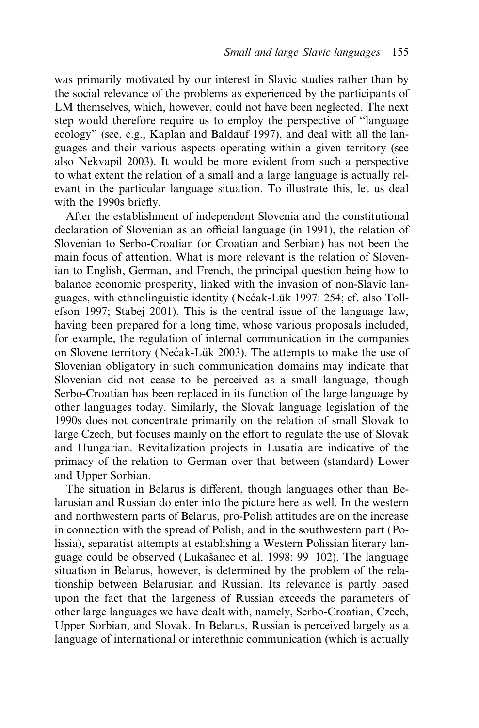was primarily motivated by our interest in Slavic studies rather than by the social relevance of the problems as experienced by the participants of LM themselves, which, however, could not have been neglected. The next step would therefore require us to employ the perspective of ''language ecology'' (see, e.g., Kaplan and Baldauf 1997), and deal with all the languages and their various aspects operating within a given territory (see also Nekvapil 2003). It would be more evident from such a perspective to what extent the relation of a small and a large language is actually relevant in the particular language situation. To illustrate this, let us deal with the 1990s briefly.

After the establishment of independent Slovenia and the constitutional declaration of Slovenian as an official language (in 1991), the relation of Slovenian to Serbo-Croatian (or Croatian and Serbian) has not been the main focus of attention. What is more relevant is the relation of Slovenian to English, German, and French, the principal question being how to balance economic prosperity, linked with the invasion of non-Slavic languages, with ethnolinguistic identity (Nećak-Lük 1997: 254; cf. also Tollefson 1997; Stabej 2001). This is the central issue of the language law, having been prepared for a long time, whose various proposals included, for example, the regulation of internal communication in the companies on Slovene territory (Nećak-Lük 2003). The attempts to make the use of Slovenian obligatory in such communication domains may indicate that Slovenian did not cease to be perceived as a small language, though Serbo-Croatian has been replaced in its function of the large language by other languages today. Similarly, the Slovak language legislation of the 1990s does not concentrate primarily on the relation of small Slovak to large Czech, but focuses mainly on the effort to regulate the use of Slovak and Hungarian. Revitalization projects in Lusatia are indicative of the primacy of the relation to German over that between (standard) Lower and Upper Sorbian.

The situation in Belarus is different, though languages other than Belarusian and Russian do enter into the picture here as well. In the western and northwestern parts of Belarus, pro-Polish attitudes are on the increase in connection with the spread of Polish, and in the southwestern part (Polissia), separatist attempts at establishing a Western Polissian literary language could be observed (Lukašanec et al. 1998: 99–102). The language situation in Belarus, however, is determined by the problem of the relationship between Belarusian and Russian. Its relevance is partly based upon the fact that the largeness of Russian exceeds the parameters of other large languages we have dealt with, namely, Serbo-Croatian, Czech, Upper Sorbian, and Slovak. In Belarus, Russian is perceived largely as a language of international or interethnic communication (which is actually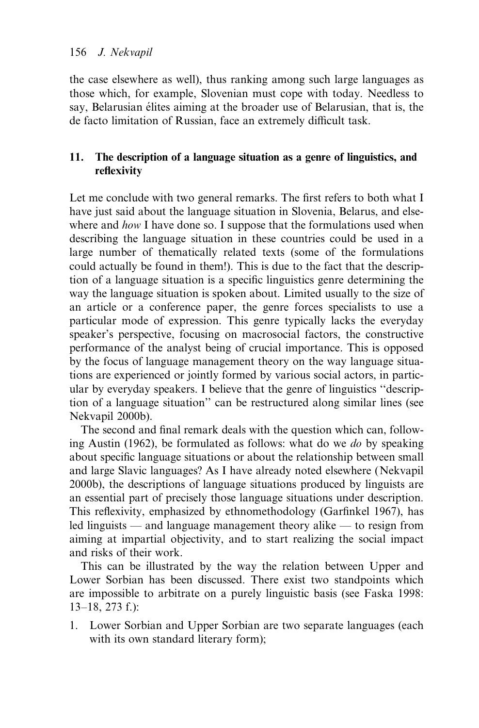# 156 J. Nekvapil

the case elsewhere as well), thus ranking among such large languages as those which, for example, Slovenian must cope with today. Needless to say, Belarusian élites aiming at the broader use of Belarusian, that is, the de facto limitation of Russian, face an extremely difficult task.

# 11. The description of a language situation as a genre of linguistics, and reflexivity

Let me conclude with two general remarks. The first refers to both what I have just said about the language situation in Slovenia, Belarus, and elsewhere and how I have done so. I suppose that the formulations used when describing the language situation in these countries could be used in a large number of thematically related texts (some of the formulations could actually be found in them!). This is due to the fact that the description of a language situation is a specific linguistics genre determining the way the language situation is spoken about. Limited usually to the size of an article or a conference paper, the genre forces specialists to use a particular mode of expression. This genre typically lacks the everyday speaker's perspective, focusing on macrosocial factors, the constructive performance of the analyst being of crucial importance. This is opposed by the focus of language management theory on the way language situations are experienced or jointly formed by various social actors, in particular by everyday speakers. I believe that the genre of linguistics ''description of a language situation'' can be restructured along similar lines (see Nekvapil 2000b).

The second and final remark deals with the question which can, following Austin (1962), be formulated as follows: what do we do by speaking about specific language situations or about the relationship between small and large Slavic languages? As I have already noted elsewhere (Nekvapil 2000b), the descriptions of language situations produced by linguists are an essential part of precisely those language situations under description. This reflexivity, emphasized by ethnomethodology (Garfinkel 1967), has led linguists — and language management theory alike — to resign from aiming at impartial objectivity, and to start realizing the social impact and risks of their work.

This can be illustrated by the way the relation between Upper and Lower Sorbian has been discussed. There exist two standpoints which are impossible to arbitrate on a purely linguistic basis (see Faska 1998: 13–18, 273 f.):

1. Lower Sorbian and Upper Sorbian are two separate languages (each with its own standard literary form);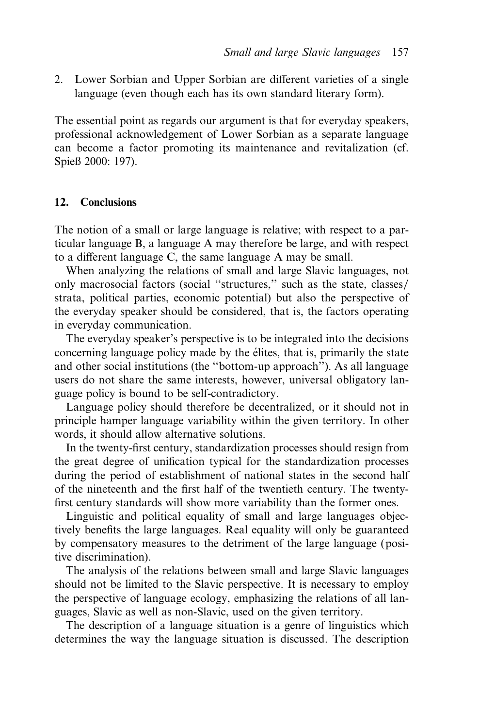2. Lower Sorbian and Upper Sorbian are different varieties of a single language (even though each has its own standard literary form).

The essential point as regards our argument is that for everyday speakers, professional acknowledgement of Lower Sorbian as a separate language can become a factor promoting its maintenance and revitalization (cf. Spieß 2000: 197).

### 12. Conclusions

The notion of a small or large language is relative; with respect to a particular language B, a language A may therefore be large, and with respect to a different language  $C$ , the same language  $A$  may be small.

When analyzing the relations of small and large Slavic languages, not only macrosocial factors (social ''structures,'' such as the state, classes/ strata, political parties, economic potential) but also the perspective of the everyday speaker should be considered, that is, the factors operating in everyday communication.

The everyday speaker's perspective is to be integrated into the decisions concerning language policy made by the élites, that is, primarily the state and other social institutions (the ''bottom-up approach''). As all language users do not share the same interests, however, universal obligatory language policy is bound to be self-contradictory.

Language policy should therefore be decentralized, or it should not in principle hamper language variability within the given territory. In other words, it should allow alternative solutions.

In the twenty-first century, standardization processes should resign from the great degree of unification typical for the standardization processes during the period of establishment of national states in the second half of the nineteenth and the first half of the twentieth century. The twentyfirst century standards will show more variability than the former ones.

Linguistic and political equality of small and large languages objectively benefits the large languages. Real equality will only be guaranteed by compensatory measures to the detriment of the large language (positive discrimination).

The analysis of the relations between small and large Slavic languages should not be limited to the Slavic perspective. It is necessary to employ the perspective of language ecology, emphasizing the relations of all languages, Slavic as well as non-Slavic, used on the given territory.

The description of a language situation is a genre of linguistics which determines the way the language situation is discussed. The description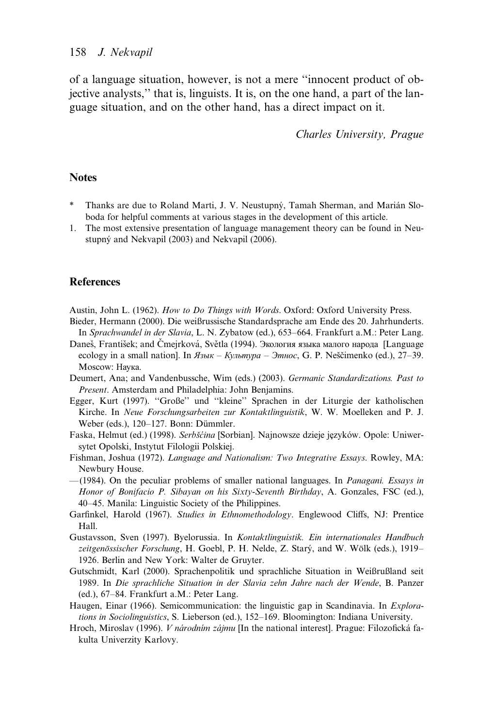#### 158 J. Nekvapil

of a language situation, however, is not a mere ''innocent product of objective analysts," that is, linguists. It is, on the one hand, a part of the language situation, and on the other hand, has a direct impact on it.

Charles University, Prague

#### **Notes**

- Thanks are due to Roland Marti, J. V. Neustupny, Tamah Sherman, and Marian Sloboda for helpful comments at various stages in the development of this article.
- 1. The most extensive presentation of language management theory can be found in Neustupný and Nekvapil (2003) and Nekvapil (2006).

### **References**

Austin, John L. (1962). How to Do Things with Words. Oxford: Oxford University Press.

- Bieder, Hermann (2000). Die weißrussische Standardsprache am Ende des 20. Jahrhunderts. In Sprachwandel in der Slavia, L. N. Zybatow (ed.), 653–664. Frankfurt a.M.: Peter Lang.
- Daneš, František; and Čmejrková, Světla (1994). Экология языка малого народа [Language] ecology in a small nation]. In  $H_{3bK} - K_{Y1b}m_{Y}p_a - 3m_{H}o_c$ , G. P. Neščimenko (ed.), 27–39. Moscow: Наука.
- Deumert, Ana; and Vandenbussche, Wim (eds.) (2003). Germanic Standardizations. Past to Present. Amsterdam and Philadelphia: John Benjamins.
- Egger, Kurt (1997). ''Große'' und ''kleine'' Sprachen in der Liturgie der katholischen Kirche. In Neue Forschungsarbeiten zur Kontaktlinguistik, W. W. Moelleken and P. J. Weber (eds.), 120-127. Bonn: Dümmler.
- Faska, Helmut (ed.) (1998). Serbšćina [Sorbian]. Najnowsze dzieje języków. Opole: Uniwersytet Opolski, Instytut Filologii Polskiej.
- Fishman, Joshua (1972). Language and Nationalism: Two Integrative Essays. Rowley, MA: Newbury House.
- $-(1984)$ . On the peculiar problems of smaller national languages. In *Panagani. Essays in* Honor of Bonifacio P. Sibayan on his Sixty-Seventh Birthday, A. Gonzales, FSC (ed.), 40–45. Manila: Linguistic Society of the Philippines.
- Garfinkel, Harold (1967). Studies in Ethnomethodology. Englewood Cliffs, NJ: Prentice Hall.
- Gustavsson, Sven (1997). Byelorussia. In Kontaktlinguistik. Ein internationales Handbuch zeitgenössischer Forschung, H. Goebl, P. H. Nelde, Z. Starý, and W. Wölk (eds.), 1919– 1926. Berlin and New York: Walter de Gruyter.
- Gutschmidt, Karl (2000). Sprachenpolitik und sprachliche Situation in Weißrußland seit 1989. In Die sprachliche Situation in der Slavia zehn Jahre nach der Wende, B. Panzer (ed.), 67–84. Frankfurt a.M.: Peter Lang.
- Haugen, Einar (1966). Semicommunication: the linguistic gap in Scandinavia. In *Explora*tions in Sociolinguistics, S. Lieberson (ed.), 152–169. Bloomington: Indiana University.
- Hroch, Miroslav (1996). *V národním zájmu* [In the national interest]. Prague: Filozofická fakulta Univerzity Karlovy.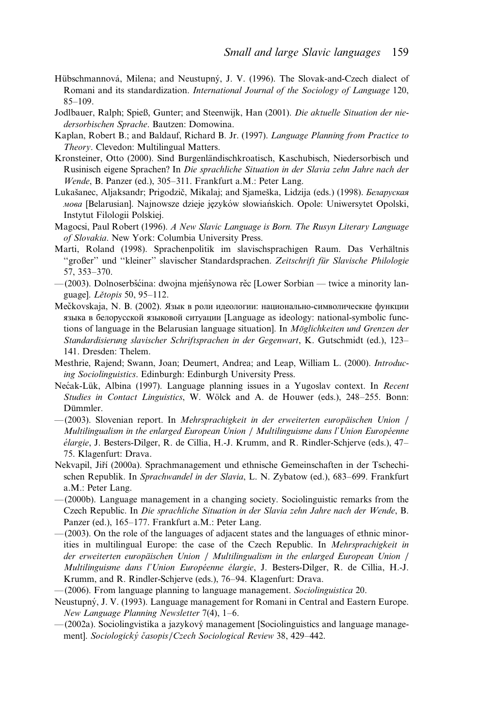- Hübschmannová, Milena; and Neustupný, J. V. (1996). The Slovak-and-Czech dialect of Romani and its standardization. International Journal of the Sociology of Language 120, 85–109.
- Jodlbauer, Ralph; Spieß, Gunter; and Steenwijk, Han (2001). Die aktuelle Situation der niedersorbischen Sprache. Bautzen: Domowina.
- Kaplan, Robert B.; and Baldauf, Richard B. Jr. (1997). Language Planning from Practice to Theory. Clevedon: Multilingual Matters.
- Kronsteiner, Otto (2000). Sind Burgenländischkroatisch, Kaschubisch, Niedersorbisch und Rusinisch eigene Sprachen? In Die sprachliche Situation in der Slavia zehn Jahre nach der Wende, B. Panzer (ed.), 305–311. Frankfurt a.M.: Peter Lang.
- Lukašanec, Aljaksandr; Prigodzič, Mikalaj; and Sjameška, Lidzija (eds.) (1998). Беларуская мова [Belarusian]. Najnowsze dzieje języków słowiańskich. Opole: Uniwersytet Opolski, Instytut Filologii Polskiej.
- Magocsi, Paul Robert (1996). A New Slavic Language is Born. The Rusyn Literary Language of Slovakia. New York: Columbia University Press.
- Marti, Roland (1998). Sprachenpolitik im slavischsprachigen Raum. Das Verhältnis "großer" und "kleiner" slavischer Standardsprachen. Zeitschrift für Slavische Philologie 57, 353–370.
- (2003). Dolnoserbšćina: dwojna mjenšynowa rěc [Lower Sorbian twice a minority language]. Lětopis 50, 95–112.
- Mečkovskaja, N. B. (2002). Язык в роли идеологии: национально-символические функции языка в белорусской языковой ситуации [Language as ideology: national-symbolic functions of language in the Belarusian language situation]. In Möglichkeiten und Grenzen der Standardisierung slavischer Schriftsprachen in der Gegenwart, K. Gutschmidt (ed.), 123– 141. Dresden: Thelem.
- Mesthrie, Rajend; Swann, Joan; Deumert, Andrea; and Leap, William L. (2000). Introducing Sociolinguistics. Edinburgh: Edinburgh University Press.
- Nećak-Lük, Albina (1997). Language planning issues in a Yugoslav context. In Recent Studies in Contact Linguistics, W. Wölck and A. de Houwer (eds.), 248–255. Bonn: Dümmler.
- (2003). Slovenian report. In *Mehrsprachigkeit in der erweiterten europäischen Union* / Multilingualism in the enlarged European Union / Multilinguisme dans l'Union Européenne  $\acute{e}$ largie, J. Besters-Dilger, R. de Cillia, H.-J. Krumm, and R. Rindler-Schjerve (eds.), 47– 75. Klagenfurt: Drava.
- Nekvapil, Jiří (2000a). Sprachmanagement und ethnische Gemeinschaften in der Tschechischen Republik. In Sprachwandel in der Slavia, L. N. Zybatow (ed.), 683–699. Frankfurt a.M.: Peter Lang.
- (2000b). Language management in a changing society. Sociolinguistic remarks from the Czech Republic. In Die sprachliche Situation in der Slavia zehn Jahre nach der Wende, B. Panzer (ed.), 165–177. Frankfurt a.M.: Peter Lang.
- (2003). On the role of the languages of adjacent states and the languages of ethnic minorities in multilingual Europe: the case of the Czech Republic. In Mehrsprachigkeit in der erweiterten europäischen Union / Multilingualism in the enlarged European Union / Multilinguisme dans l'Union Européenne élargie, J. Besters-Dilger, R. de Cillia, H.-J. Krumm, and R. Rindler-Schjerve (eds.), 76–94. Klagenfurt: Drava.
- (2006). From language planning to language management. Sociolinguistica 20.
- Neustupný, J. V. (1993). Language management for Romani in Central and Eastern Europe. New Language Planning Newsletter 7(4), 1–6.
- (2002a). Sociolingvistika a jazykovy´ management [Sociolinguistics and language management]. Sociologický časopis/Czech Sociological Review 38, 429–442.